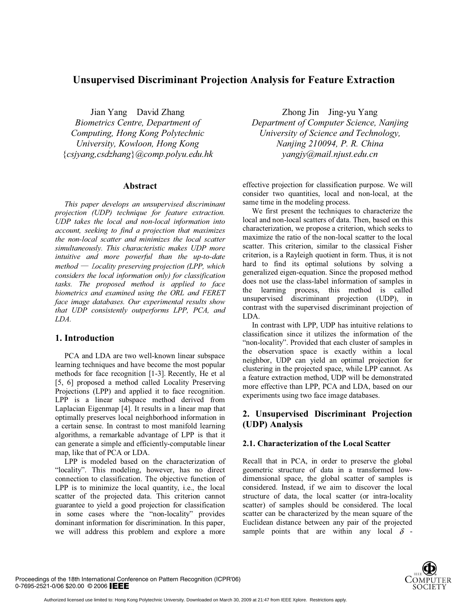# **Unsupervised Discriminant Projection Analysis for Feature Extraction**

Jian Yang David Zhang *Biometrics Centre, Department of Computing, Hong Kong Polytechnic University, Kowloon, Hong Kong*  {*csjyang,csdzhang*}*@comp.polyu.edu.hk* 

## **Abstract**

*This paper develops an unsupervised discriminant projection (UDP) technique for feature extraction. UDP takes the local and non-local information into account, seeking to find a projection that maximizes the non-local scatter and minimizes the local scatter simultaneously. This characteristic makes UDP more intuitive and more powerful than the up-to-date*   $m$ ethod — *Locality preserving projection (LPP, which considers the local information only) for classification tasks. The proposed method is applied to face biometrics and examined using the ORL and FERET face image databases. Our experimental results show that UDP consistently outperforms LPP, PCA, and LDA.* 

## **1. Introduction**

PCA and LDA are two well-known linear subspace learning techniques and have become the most popular methods for face recognition [1-3]. Recently, He et al [5, 6] proposed a method called Locality Preserving Projections (LPP) and applied it to face recognition. LPP is a linear subspace method derived from Laplacian Eigenmap [4]. It results in a linear map that optimally preserves local neighborhood information in a certain sense. In contrast to most manifold learning algorithms, a remarkable advantage of LPP is that it can generate a simple and efficiently-computable linear map, like that of PCA or LDA.

LPP is modeled based on the characterization of "locality". This modeling, however, has no direct connection to classification. The objective function of LPP is to minimize the local quantity, i.e., the local scatter of the projected data. This criterion cannot guarantee to yield a good projection for classification in some cases where the "non-locality" provides dominant information for discrimination. In this paper, we will address this problem and explore a more

Zhong Jin Jing-yu Yang *Department of Computer Science, Nanjing University of Science and Technology, Nanjing 210094, P. R. China yangjy@mail.njust.edu.cn* 

effective projection for classification purpose. We will consider two quantities, local and non-local, at the same time in the modeling process.

We first present the techniques to characterize the local and non-local scatters of data. Then, based on this characterization, we propose a criterion, which seeks to maximize the ratio of the non-local scatter to the local scatter. This criterion, similar to the classical Fisher criterion, is a Rayleigh quotient in form. Thus, it is not hard to find its optimal solutions by solving a generalized eigen-equation. Since the proposed method does not use the class-label information of samples in the learning process, this method is called unsupervised discriminant projection (UDP), in contrast with the supervised discriminant projection of LDA.

In contrast with LPP, UDP has intuitive relations to classification since it utilizes the information of the "non-locality". Provided that each cluster of samples in the observation space is exactly within a local neighbor, UDP can yield an optimal projection for clustering in the projected space, while LPP cannot. As a feature extraction method, UDP will be demonstrated more effective than LPP, PCA and LDA, based on our experiments using two face image databases.

# **2. Unsupervised Discriminant Projection (UDP) Analysis**

## **2.1. Characterization of the Local Scatter**

Recall that in PCA, in order to preserve the global geometric structure of data in a transformed lowdimensional space, the global scatter of samples is considered. Instead, if we aim to discover the local structure of data, the local scatter (or intra-locality scatter) of samples should be considered. The local scatter can be characterized by the mean square of the Euclidean distance between any pair of the projected sample points that are within any local  $\delta$ 



Proceedings of the 18th International Conference on Pattern Recognition (ICPR'06) 0-7695-2521-0/06 \$20.00 © 2006 IEEE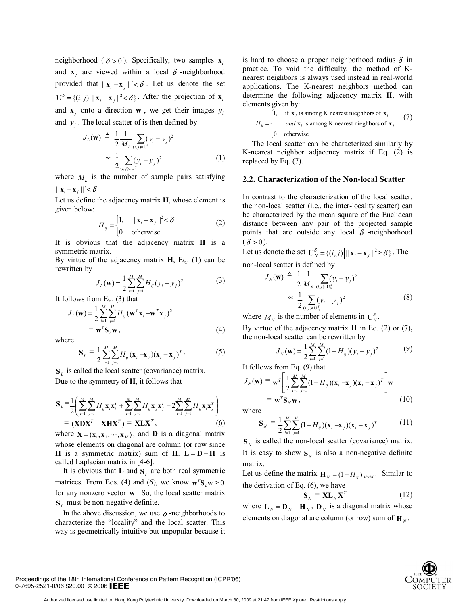neighborhood ( $\delta > 0$ ). Specifically, two samples **x**<sub>i</sub> and **x** are viewed within a local  $\delta$  -neighborhood provided that  $||\mathbf{x}_i - \mathbf{x}_j||^2 < \delta$ . Let us denote the set  $U^{\delta} = \{(i, j) | ||\mathbf{x}_i - \mathbf{x}_j||^2 < \delta\}$ . After the projection of  $\mathbf{x}_i$ and **x** *j* onto a direction **w** , we get their images  $y_i$ and  $y_i$ . The local scatter of is then defined by

$$
J_L(\mathbf{w}) \triangleq \frac{1}{2} \frac{1}{M_L} \sum_{(i,j) \in U^{\delta}} (y_i - y_j)^2
$$
  
 
$$
\propto \frac{1}{2} \sum_{(i,j) \in U^{\delta}} (y_i - y_j)^2
$$
 (1)

where  $M<sub>L</sub>$  is the number of sample pairs satisfying  $\|\mathbf{x}_i - \mathbf{x}_i\|^2 < \delta$ .

Let us define the adjacency matrix **H**, whose element is given below:

$$
H_{ij} = \begin{cases} 1, & \|\mathbf{x}_i - \mathbf{x}_j\|^2 < \delta \\ 0 & \text{otherwise} \end{cases} \tag{2}
$$

It is obvious that the adjacency matrix **H** is a symmetric matrix.

By virtue of the adjacency matrix **H**, Eq. (1) can be rewritten by

$$
J_L(\mathbf{w}) = \frac{1}{2} \sum_{i=1}^{M} \sum_{j=1}^{M} H_{ij} (y_i - y_j)^2
$$
(3)

It follows from Eq. (3) that

$$
J_L(\mathbf{w}) = \frac{1}{2} \sum_{i=1}^{M} \sum_{j=1}^{M} H_{ij} (\mathbf{w}^T \mathbf{x}_i - \mathbf{w}^T \mathbf{x}_j)^2
$$
  
=  $\mathbf{w}^T \mathbf{S}_L \mathbf{w}$ , (4)

where

$$
\mathbf{S}_{L} = \frac{1}{2} \sum_{i=1}^{M} \sum_{j=1}^{M} H_{ij} (\mathbf{x}_{i} - \mathbf{x}_{j}) (\mathbf{x}_{i} - \mathbf{x}_{j})^{T}.
$$
 (5)

 $S_L$  is called the local scatter (covariance) matrix. Due to the symmetry of **H**, it follows that

$$
\mathbf{S}_{L} = \frac{1}{2} \left( \sum_{i=1}^{M} \sum_{j=1}^{M} H_{ij} \mathbf{x}_{i} \mathbf{x}_{i}^{T} + \sum_{i=1}^{M} \sum_{j=1}^{M} H_{ij} \mathbf{x}_{j} \mathbf{x}_{j}^{T} - 2 \sum_{i=1}^{M} \sum_{j=1}^{M} H_{ij} \mathbf{x}_{i} \mathbf{x}_{j}^{T} \right)
$$

$$
= (\mathbf{X} \mathbf{D} \mathbf{X}^{T} - \mathbf{X} \mathbf{H} \mathbf{X}^{T}) = \mathbf{X} \mathbf{L} \mathbf{X}^{T}, \qquad (6)
$$

where  $X = (x_1, x_2, \dots, x_M)$ , and **D** is a diagonal matrix whose elements on diagonal are column (or row since **H** is a symmetric matrix) sum of **H**.  $L = D - H$  is called Laplacian matrix in [4-6].

It is obvious that **L** and  $S_L$  are both real symmetric matrices. From Eqs. (4) and (6), we know  $\mathbf{w}^T \mathbf{S}_L \mathbf{w} \ge 0$ for any nonzero vector **w** . So, the local scatter matrix **S**<sub>*l*</sub> must be non-negative definite.

In the above discussion, we use  $\delta$ -neighborhoods to characterize the "locality" and the local scatter. This way is geometrically intuitive but unpopular because it is hard to choose a proper neighborhood radius  $\delta$  in practice. To void the difficulty, the method of Knearest neighbors is always used instead in real-world applications. The K-nearest neighbors method can determine the following adjacency matrix **H**, with elements given by:

$$
H_{ij} = \begin{cases} 1, & \text{if } \mathbf{x}_j \text{ is among K nearest neighbors of } \mathbf{x}_i \\ & \text{and } \mathbf{x}_i \text{ is among K nearest neighbors of } \mathbf{x}_j \\ 0 & \text{otherwise} \end{cases} \tag{7}
$$

The local scatter can be characterized similarly by K-nearest neighbor adjacency matrix if Eq. (2) is replaced by Eq. (7).

#### **2.2. Characterization of the Non-local Scatter**

In contrast to the characterization of the local scatter, the non-local scatter (i.e., the inter-locality scatter) can be characterized by the mean square of the Euclidean distance between any pair of the projected sample points that are outside any local  $\delta$  -neighborhood  $(\delta > 0)$ .

Let us denote the set  $U_N^{\delta} = \{(i, j) | ||\mathbf{x}_i - \mathbf{x}_j||^2 \ge \delta\}$ . The non-local scatter is defined by

$$
J_{N}(\mathbf{w}) \triangleq \frac{1}{2} \frac{1}{M_{N}} \sum_{(i,j) \in U_{N}^{\delta}} (y_{i} - y_{j})^{2}
$$

$$
\approx \frac{1}{2} \sum_{(i,j) \in U_{N}^{\delta}} (y_{i} - y_{j})^{2}
$$
(8)

where  $M_N$  is the number of elements in  $U_N^{\delta}$ .

By virtue of the adjacency matrix **H** in Eq. (2) or (7)**,** the non-local scatter can be rewritten by

$$
J_N(\mathbf{w}) = \frac{1}{2} \sum_{i=1}^{M} \sum_{j=1}^{M} (1 - H_{ij})(y_i - y_j)^2
$$
(9)

It follows from Eq. (9) that

$$
J_N(\mathbf{w}) = \mathbf{w}^T \left[ \frac{1}{2} \sum_{i=1}^M \sum_{j=1}^M (1 - H_{ij}) (\mathbf{x}_i - \mathbf{x}_j) (\mathbf{x}_i - \mathbf{x}_j)^T \right] \mathbf{w}
$$
  
=  $\mathbf{w}^T \mathbf{S}_N \mathbf{w}$ , (10)

where

$$
\mathbf{S}_{N} = \frac{1}{2} \sum_{i=1}^{M} \sum_{j=1}^{M} (1 - H_{ij})(\mathbf{x}_{i} - \mathbf{x}_{j})(\mathbf{x}_{i} - \mathbf{x}_{j})^{T}
$$
(11)

 $\mathbf{S}_N$  is called the non-local scatter (covariance) matrix. It is easy to show  $S_N$  is also a non-negative definite matrix.

Let us define the matrix  $\mathbf{H}_N = (1 - H_{ij})_{M \times M}$ . Similar to the derivation of Eq. (6), we have

$$
\mathbf{S}_N = \mathbf{X} \mathbf{L}_N \mathbf{X}^T \tag{12}
$$

where  $\mathbf{L}_N = \mathbf{D}_N - \mathbf{H}_N$ ,  $\mathbf{D}_N$  is a diagonal matrix whose elements on diagonal are column (or row) sum of  $\mathbf{H}_N$ .



Proceedings of the 18th International Conference on Pattern Recognition (ICPR'06) 0-7695-2521-0/06 \$20.00 © 2006 IEEE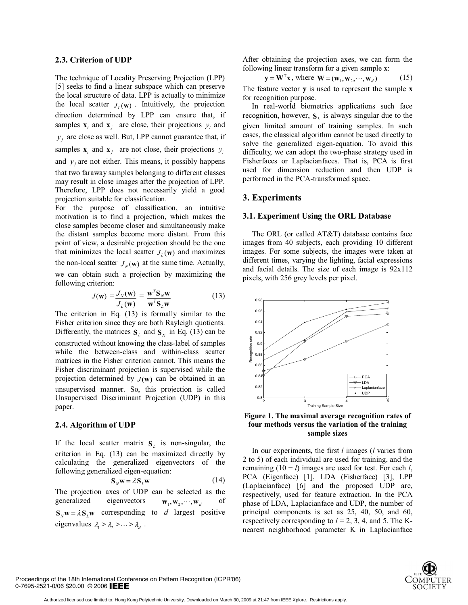#### **2.3. Criterion of UDP**

The technique of Locality Preserving Projection (LPP) [5] seeks to find a linear subspace which can preserve the local structure of data. LPP is actually to minimize the local scatter  $J_L(\mathbf{w})$ . Intuitively, the projection direction determined by LPP can ensure that, if samples  $\mathbf{x}_i$  and  $\mathbf{x}_j$  are close, their projections  $y_i$  and  $y_i$  are close as well. But, LPP cannot guarantee that, if samples  $\mathbf{x}_i$  and  $\mathbf{x}_j$  are not close, their projections  $y_i$ and  $y_i$  are not either. This means, it possibly happens that two faraway samples belonging to different classes may result in close images after the projection of LPP. Therefore, LPP does not necessarily yield a good projection suitable for classification.

For the purpose of classification, an intuitive motivation is to find a projection, which makes the close samples become closer and simultaneously make the distant samples become more distant. From this point of view, a desirable projection should be the one that minimizes the local scatter  $J_{\ell}(\mathbf{w})$  and maximizes the non-local scatter  $J_N(\mathbf{w})$  at the same time. Actually, we can obtain such a projection by maximizing the following criterion:

$$
J(\mathbf{w}) = \frac{J_N(\mathbf{w})}{J_L(\mathbf{w})} = \frac{\mathbf{w}^T \mathbf{S}_N \mathbf{w}}{\mathbf{w}^T \mathbf{S}_L \mathbf{w}}
$$
(13)

The criterion in Eq. (13) is formally similar to the Fisher criterion since they are both Rayleigh quotients. Differently, the matrices  $S_L$  and  $S_N$  in Eq. (13) can be constructed without knowing the class-label of samples while the between-class and within-class scatter matrices in the Fisher criterion cannot. This means the Fisher discriminant projection is supervised while the projection determined by  $J(w)$  can be obtained in an unsupervised manner. So, this projection is called Unsupervised Discriminant Projection (UDP) in this paper.

#### **2.4. Algorithm of UDP**

If the local scatter matrix  $S_L$  is non-singular, the criterion in Eq. (13) can be maximized directly by calculating the generalized eigenvectors of the following generalized eigen-equation:

$$
\mathbf{S}_N \mathbf{w} = \lambda \mathbf{S}_L \mathbf{w} \tag{14}
$$

The projection axes of UDP can be selected as the generalized eigenvectors  $\mathbf{w}_1, \mathbf{w}_2, \dots, \mathbf{w}_d$  of  $\mathbf{S}_N \mathbf{w} = \lambda \mathbf{S}_I \mathbf{w}$  corresponding to *d* largest positive eigenvalues  $\lambda_1 \geq \lambda_2 \geq \cdots \geq \lambda_d$ .

After obtaining the projection axes, we can form the following linear transform for a given sample **x**:

$$
\mathbf{y} = \mathbf{W}^{\mathrm{T}} \mathbf{x}, \text{ where } \mathbf{W} = (\mathbf{w}_1, \mathbf{w}_2, \cdots, \mathbf{w}_d)
$$
 (15)

The feature vector **y** is used to represent the sample **x** for recognition purpose.

In real-world biometrics applications such face recognition, however,  $S_L$  is always singular due to the given limited amount of training samples. In such cases, the classical algorithm cannot be used directly to solve the generalized eigen-equation. To avoid this difficulty, we can adopt the two-phase strategy used in Fisherfaces or Laplacianfaces. That is, PCA is first used for dimension reduction and then UDP is performed in the PCA-transformed space.

#### **3. Experiments**

#### **3.1. Experiment Using the ORL Database**

The ORL (or called AT&T) database contains face images from 40 subjects, each providing 10 different images. For some subjects, the images were taken at different times, varying the lighting, facial expressions and facial details. The size of each image is 92x112 pixels, with 256 grey levels per pixel.





In our experiments, the first *l* images (*l* varies from 2 to 5) of each individual are used for training, and the remaining  $(10 - l)$  images are used for test. For each *l*, PCA (Eigenface) [1], LDA (Fisherface) [3], LPP (Laplacianface) [6] and the proposed UDP are, respectively, used for feature extraction. In the PCA phase of LDA, Laplacianface and UDP, the number of principal components is set as 25, 40, 50, and 60, respectively corresponding to  $l = 2, 3, 4$ , and 5. The Knearest neighborhood parameter K in Laplacianface